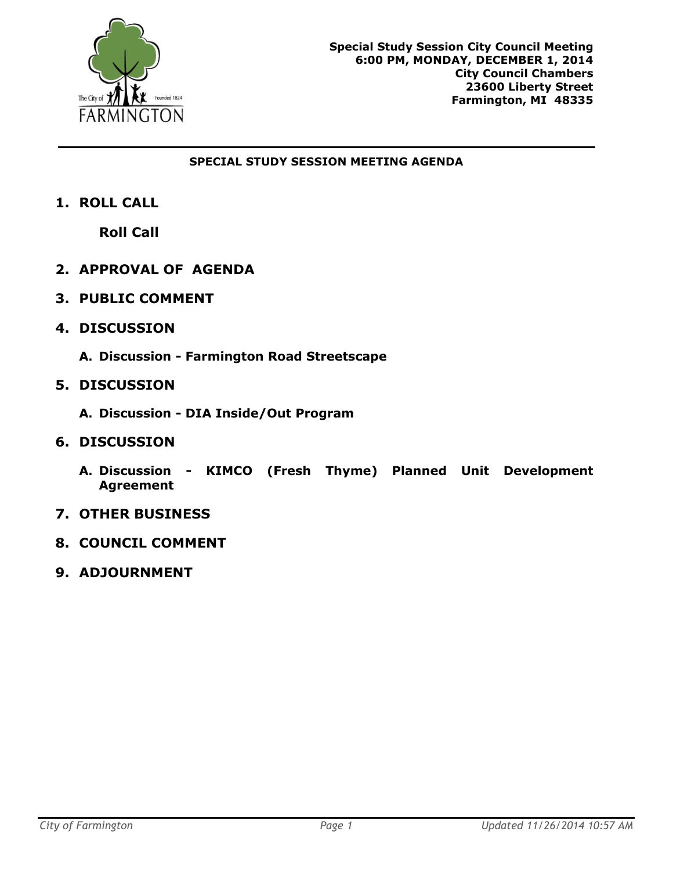

#### **SPECIAL STUDY SESSION MEETING AGENDA**

**1. ROLL CALL**

**Roll Call**

- **2. APPROVAL OF AGENDA**
- **3. PUBLIC COMMENT**
- **4. DISCUSSION**
	- **A. Discussion - Farmington Road Streetscape**
- **5. DISCUSSION**
	- **A. Discussion - DIA Inside/Out Program**
- **6. DISCUSSION**
	- **A. Discussion - KIMCO (Fresh Thyme) Planned Unit Development Agreement**
- **7. OTHER BUSINESS**
- **8. COUNCIL COMMENT**
- **9. ADJOURNMENT**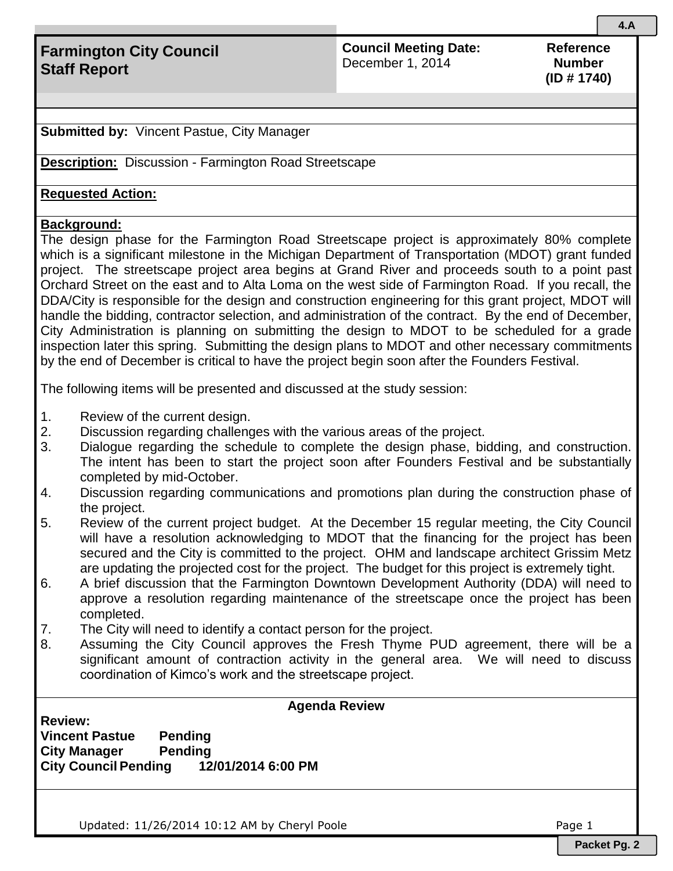# **Farmington City Council Staff Report**

## **Council Meeting Date:**  December 1, 2014

**Reference Number (ID # 1740)**

**Submitted by:** Vincent Pastue, City Manager

**Description:** Discussion - Farmington Road Streetscape

**Requested Action:**

## **Background:**

The design phase for the Farmington Road Streetscape project is approximately 80% complete which is a significant milestone in the Michigan Department of Transportation (MDOT) grant funded project. The streetscape project area begins at Grand River and proceeds south to a point past Orchard Street on the east and to Alta Loma on the west side of Farmington Road. If you recall, the DDA/City is responsible for the design and construction engineering for this grant project, MDOT will handle the bidding, contractor selection, and administration of the contract. By the end of December, City Administration is planning on submitting the design to MDOT to be scheduled for a grade inspection later this spring. Submitting the design plans to MDOT and other necessary commitments by the end of December is critical to have the project begin soon after the Founders Festival.

The following items will be presented and discussed at the study session:

- 1. Review of the current design.
- 2. Discussion regarding challenges with the various areas of the project.
- 3. Dialogue regarding the schedule to complete the design phase, bidding, and construction. The intent has been to start the project soon after Founders Festival and be substantially completed by mid-October.
- 4. Discussion regarding communications and promotions plan during the construction phase of the project.
- 5. Review of the current project budget. At the December 15 regular meeting, the City Council will have a resolution acknowledging to MDOT that the financing for the project has been secured and the City is committed to the project. OHM and landscape architect Grissim Metz are updating the projected cost for the project. The budget for this project is extremely tight.
- 6. A brief discussion that the Farmington Downtown Development Authority (DDA) will need to approve a resolution regarding maintenance of the streetscape once the project has been completed.
- 7. The City will need to identify a contact person for the project.
- 8. Assuming the City Council approves the Fresh Thyme PUD agreement, there will be a significant amount of contraction activity in the general area. We will need to discuss coordination of Kimco's work and the streetscape project.

#### **Agenda Review**

| <b>Review:</b>              |                    |
|-----------------------------|--------------------|
| <b>Vincent Pastue</b>       | Pending            |
| <b>City Manager</b>         | Pending            |
| <b>City Council Pending</b> | 12/01/2014 6:00 PM |

Updated: 11/26/2014 10:12 AM by Cheryl Poole example and the Page 1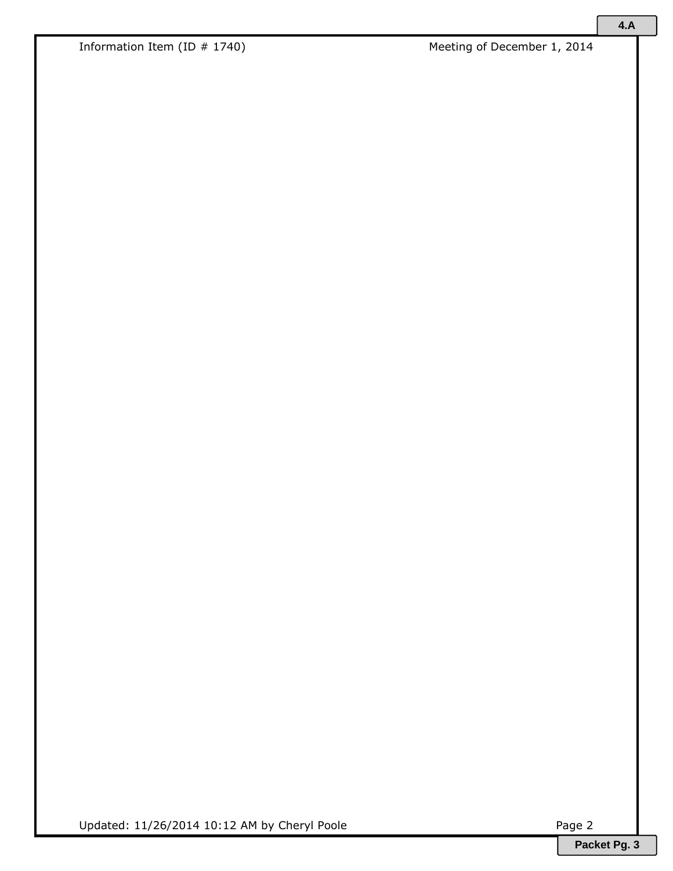Updated: 11/26/2014 10:12 AM by Cheryl Poole Page 2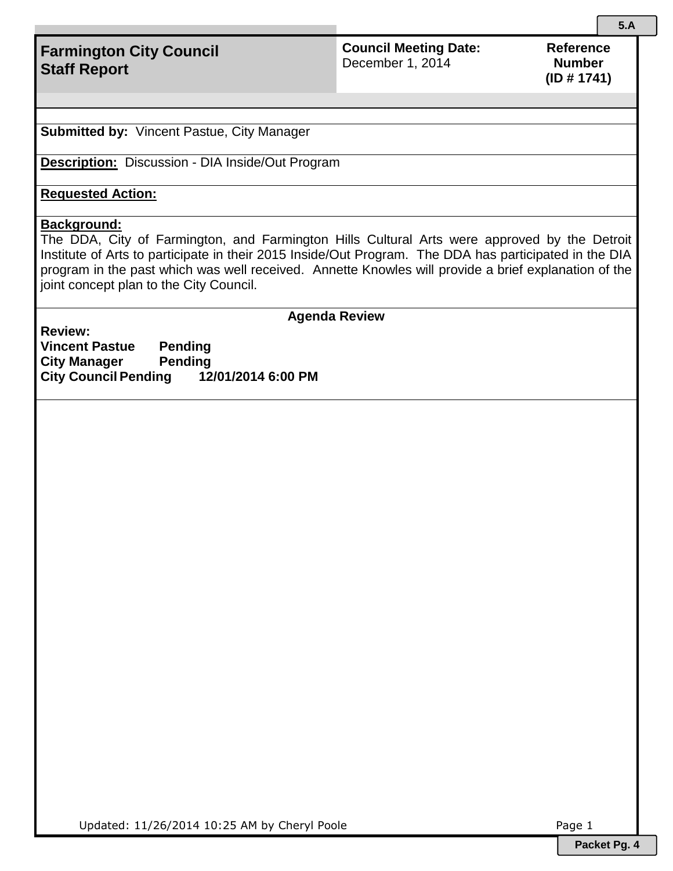# **Farmington City Council Staff Report**

## **Council Meeting Date:**  December 1, 2014

**Reference Number (ID # 1741)**

**Submitted by:** Vincent Pastue, City Manager

**Description:** Discussion - DIA Inside/Out Program

**Requested Action:**

### **Background:**

The DDA, City of Farmington, and Farmington Hills Cultural Arts were approved by the Detroit Institute of Arts to participate in their 2015 Inside/Out Program. The DDA has participated in the DIA program in the past which was well received. Annette Knowles will provide a brief explanation of the joint concept plan to the City Council.

**Agenda Review**

**Review: Vincent Pastue Pending City Manager Pending City Council Pending 12/01/2014 6:00 PM**

Updated: 11/26/2014 10:25 AM by Cheryl Poole example and the Page 1